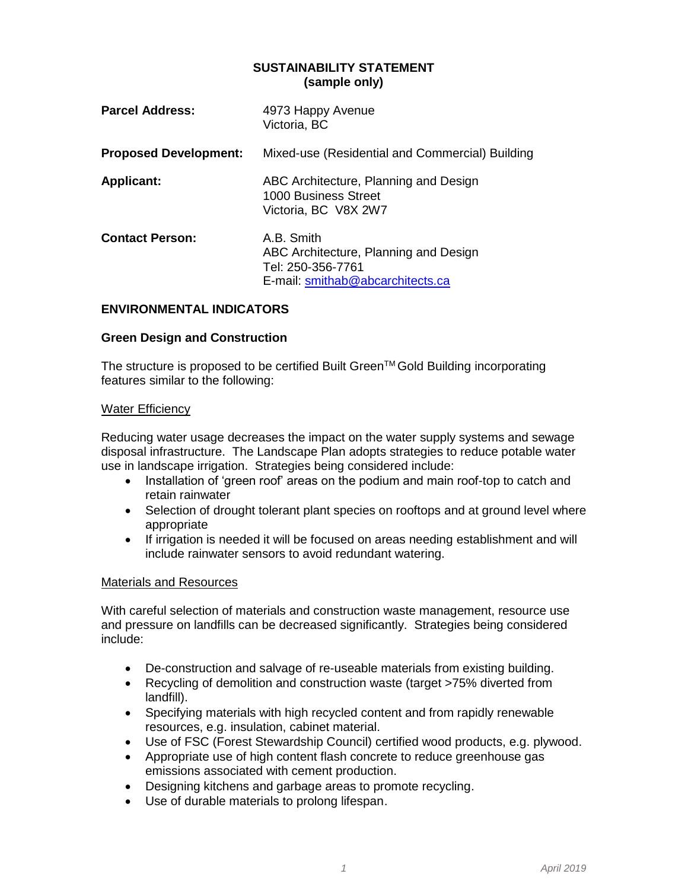#### **SUSTAINABILITY STATEMENT (sample only)**

| <b>Parcel Address:</b>       | 4973 Happy Avenue<br>Victoria, BC                                                                            |
|------------------------------|--------------------------------------------------------------------------------------------------------------|
| <b>Proposed Development:</b> | Mixed-use (Residential and Commercial) Building                                                              |
| <b>Applicant:</b>            | ABC Architecture, Planning and Design<br>1000 Business Street<br>Victoria, BC V8X 2W7                        |
| <b>Contact Person:</b>       | A.B. Smith<br>ABC Architecture, Planning and Design<br>Tel: 250-356-7761<br>E-mail: smithab@abcarchitects.ca |

### **ENVIRONMENTAL INDICATORS**

#### **Green Design and Construction**

The structure is proposed to be certified Built Green™ Gold Building incorporating features similar to the following:

#### Water Efficiency

Reducing water usage decreases the impact on the water supply systems and sewage disposal infrastructure. The Landscape Plan adopts strategies to reduce potable water use in landscape irrigation. Strategies being considered include:

- Installation of 'green roof' areas on the podium and main roof-top to catch and retain rainwater
- Selection of drought tolerant plant species on rooftops and at ground level where appropriate
- If irrigation is needed it will be focused on areas needing establishment and will include rainwater sensors to avoid redundant watering.

#### Materials and Resources

With careful selection of materials and construction waste management, resource use and pressure on landfills can be decreased significantly. Strategies being considered include:

- De-construction and salvage of re-useable materials from existing building.
- Recycling of demolition and construction waste (target >75% diverted from landfill).
- Specifying materials with high recycled content and from rapidly renewable resources, e.g. insulation, cabinet material.
- Use of FSC (Forest Stewardship Council) certified wood products, e.g. plywood.
- Appropriate use of high content flash concrete to reduce greenhouse gas emissions associated with cement production.
- Designing kitchens and garbage areas to promote recycling.
- Use of durable materials to prolong lifespan.